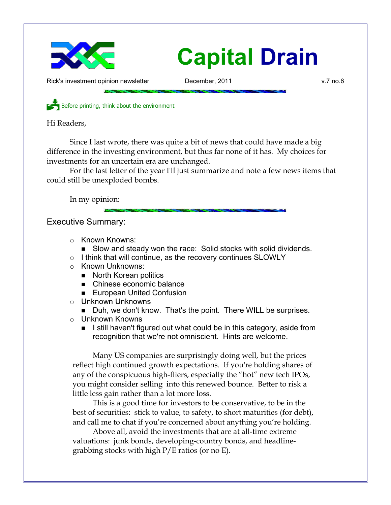

# **Capital Drain**

Rick's investment opinion newsletter **December, 2011** v.7 no.6

Before printing, think about the environment

Hi Readers,

Since I last wrote, there was quite a bit of news that could have made a big difference in the investing environment, but thus far none of it has. My choices for investments for an uncertain era are unchanged.

For the last letter of the year I'll just summarize and note a few news items that could still be unexploded bombs.

In my opinion:

Executive Summary:

- Known Knowns:
	- Slow and steady won the race: Solid stocks with solid dividends.
- I think that will continue, as the recovery continues SLOWLY
- Known Unknowns:
	- North Korean politics
	- Chinese economic balance
	- European United Confusion
- Unknown Unknowns
	- Duh, we don't know. That's the point. There WILL be surprises.
- Unknown Knowns
	- I still haven't figured out what could be in this category, aside from recognition that we're not omniscient. Hints are welcome.

Many US companies are surprisingly doing well, but the prices reflect high continued growth expectations. If you're holding shares of any of the conspicuous high-fliers, especially the "hot" new tech IPOs, you might consider selling into this renewed bounce. Better to risk a little less gain rather than a lot more loss.

This is a good time for investors to be conservative, to be in the best of securities: stick to value, to safety, to short maturities (for debt), and call me to chat if you're concerned about anything you're holding.

Above all, avoid the investments that are at all-time extreme valuations: junk bonds, developing-country bonds, and headlinegrabbing stocks with high P/E ratios (or no E).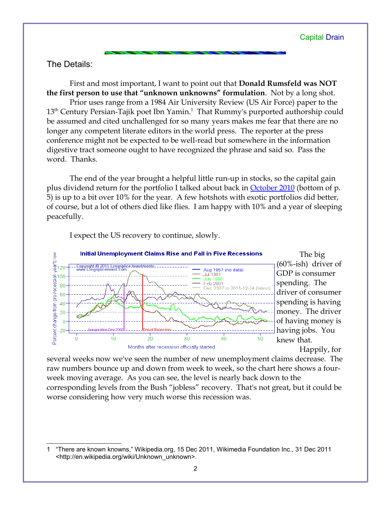## The Details:

First and most important, I want to point out that **Donald Rumsfeld was NOT the first person to use that "unknown unknowns" formulation**. Not by a long shot. Prior uses range from a 1984 Air University Review (US Air Force) paper to the  $13<sup>th</sup>$  $13<sup>th</sup>$  Century Persian-Tajik poet Ibn Yamin. $^1$  That Rummy's purported authorship could be assumed and cited unchallenged for so many years makes me fear that there are no longer any competent literate editors in the world press. The reporter at the press conference might not be expected to be well-read but somewhere in the information digestive tract someone ought to have recognized the phrase and said so. Pass the word. Thanks.

The end of the year brought a helpful little run-up in stocks, so the capital gain plus dividend return for the portfolio I talked about back in **October 2010** (bottom of p. 5) is up to a bit over 10% for the year. A few hotshots with exotic portfolios did better, of course, but a lot of others died like flies. I am happy with 10% and a year of sleeping peacefully.



I expect the US recovery to continue, slowly.

Happily, for

The big

several weeks now we've seen the number of new unemployment claims decrease. The raw numbers bounce up and down from week to week, so the chart here shows a fourweek moving average. As you can see, the level is nearly back down to the corresponding levels from the Bush "jobless" recovery. That's not great, but it could be worse considering how very much worse this recession was.

<span id="page-1-0"></span><sup>1</sup> "There are known knowns," Wikipedia.org, 15 Dec 2011, Wikimedia Foundation Inc., 31 Dec 2011 <http://en.wikipedia.org/wiki/Unknown\_unknown>.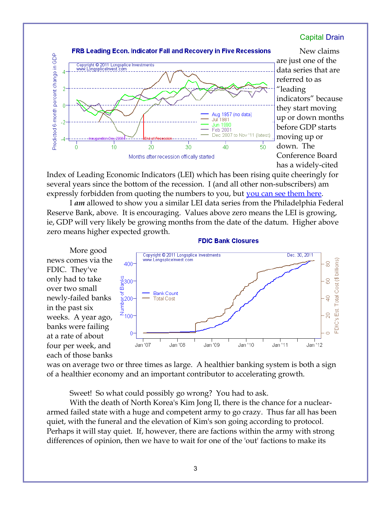## Capital Drain



New claims [a](http://www.longspliceinvest.com/econCharts.shtml#Recovery)re just one of the data series that are referred to as "leading indicators" because they start moving up or down months before GDP starts moving up or down. The Conference Board has a widely-cited

Index of Leading Economic Indicators (LEI) which has been rising quite cheeringly for several years since the bottom of the recession. I (and all other non-subscribers) am expressly forbidden from quoting the numbers to you, but [you can see them here.](http://www.conference-board.org/pdf_free/press/PressPDF_4369_1324544751.pdf)

I *am* allowed to show you a similar LEI data series from the Philadelphia Federal Reserve Bank, above. It is encouraging. Values above zero means the LEI is growing, ie, GDP will very likely be growing months from the date of the datum. Higher above zero means higher expected growth.



#### **FDIC Bank Closures**

was on average two or three times as large. A healthier banking system is both a sign of a healthier economy and an important contributor to accelerating growth.

Sweet! So what could possibly go wrong? You had to ask.

With the death of North Korea's Kim Jong Il, there is the chance for a nucleararmed failed state with a huge and competent army to go crazy. Thus far all has been quiet, with the funeral and the elevation of Kim's son going according to protocol. Perhaps it will stay quiet. If, however, there are factions within the army with strong differences of opinion, then we have to wait for one of the 'out' factions to make its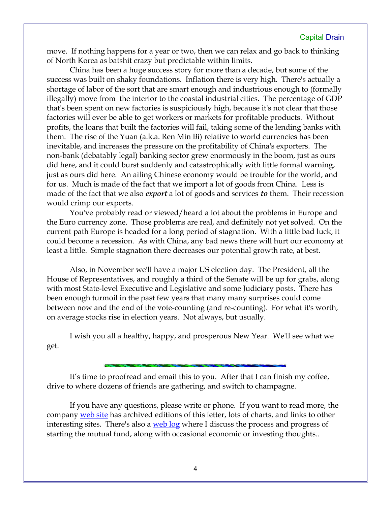### Capital Drain

move. If nothing happens for a year or two, then we can relax and go back to thinking of North Korea as batshit crazy but predictable within limits.

China has been a huge success story for more than a decade, but some of the success was built on shaky foundations. Inflation there is very high. There's actually a shortage of labor of the sort that are smart enough and industrious enough to (formally illegally) move from the interior to the coastal industrial cities. The percentage of GDP that's been spent on new factories is suspiciously high, because it's not clear that those factories will ever be able to get workers or markets for profitable products. Without profits, the loans that built the factories will fail, taking some of the lending banks with them. The rise of the Yuan (a.k.a. Ren Min Bi) relative to world currencies has been inevitable, and increases the pressure on the profitability of China's exporters. The non-bank (debatably legal) banking sector grew enormously in the boom, just as ours did here, and it could burst suddenly and catastrophically with little formal warning, just as ours did here. An ailing Chinese economy would be trouble for the world, and for us. Much is made of the fact that we import a lot of goods from China. Less is made of the fact that we also *export* a lot of goods and services *to* them. Their recession would crimp our exports.

You've probably read or viewed/heard a lot about the problems in Europe and the Euro currency zone. Those problems are real, and definitely not yet solved. On the current path Europe is headed for a long period of stagnation. With a little bad luck, it could become a recession. As with China, any bad news there will hurt our economy at least a little. Simple stagnation there decreases our potential growth rate, at best.

Also, in November we'll have a major US election day. The President, all the House of Representatives, and roughly a third of the Senate will be up for grabs, along with most State-level Executive and Legislative and some Judiciary posts. There has been enough turmoil in the past few years that many many surprises could come between now and the end of the vote-counting (and re-counting). For what it's worth, on average stocks rise in election years. Not always, but usually.

I wish you all a healthy, happy, and prosperous New Year. We'll see what we get.

It's time to proofread and email this to you. After that I can finish my coffee, drive to where dozens of friends are gathering, and switch to champagne.

If you have any questions, please write or phone. If you want to read more, the company [web site](http://www.LongspliceInvest.com/newsletter.shtml) has archived editions of this letter, lots of charts, and links to other interesting sites. There's also a [web log](http://www.LongspliceInvestments.com/ricksblog) where I discuss the process and progress of starting the mutual fund, along with occasional economic or investing thoughts..